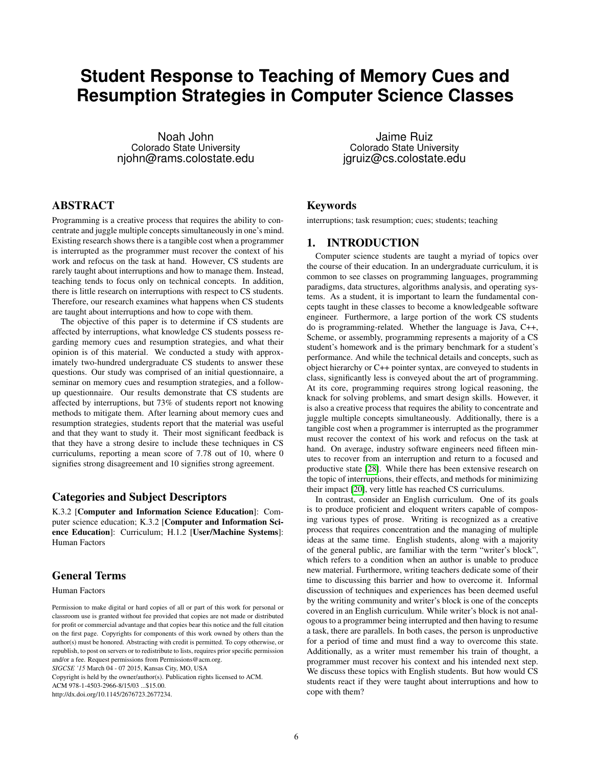# **Student Response to Teaching of Memory Cues and Resumption Strategies in Computer Science Classes**

Noah John Colorado State University njohn@rams.colostate.edu

## ABSTRACT

Programming is a creative process that requires the ability to concentrate and juggle multiple concepts simultaneously in one's mind. Existing research shows there is a tangible cost when a programmer is interrupted as the programmer must recover the context of his work and refocus on the task at hand. However, CS students are rarely taught about interruptions and how to manage them. Instead, teaching tends to focus only on technical concepts. In addition, there is little research on interruptions with respect to CS students. Therefore, our research examines what happens when CS students are taught about interruptions and how to cope with them.

The objective of this paper is to determine if CS students are affected by interruptions, what knowledge CS students possess regarding memory cues and resumption strategies, and what their opinion is of this material. We conducted a study with approximately two-hundred undergraduate CS students to answer these questions. Our study was comprised of an initial questionnaire, a seminar on memory cues and resumption strategies, and a followup questionnaire. Our results demonstrate that CS students are affected by interruptions, but 73% of students report not knowing methods to mitigate them. After learning about memory cues and resumption strategies, students report that the material was useful and that they want to study it. Their most significant feedback is that they have a strong desire to include these techniques in CS curriculums, reporting a mean score of 7.78 out of 10, where 0 signifies strong disagreement and 10 signifies strong agreement.

## Categories and Subject Descriptors

K.3.2 [Computer and Information Science Education]: Computer science education; K.3.2 [Computer and Information Science Education]: Curriculum; H.1.2 [User/Machine Systems]: Human Factors

# General Terms

#### Human Factors

Copyright is held by the owner/author(s). Publication rights licensed to ACM.

ACM 978-1-4503-2966-8/15/03 ...\$15.00.

http://dx.doi.org/10.1145/2676723.2677234.

Jaime Ruiz Colorado State University jgruiz@cs.colostate.edu

## Keywords

interruptions; task resumption; cues; students; teaching

## 1. INTRODUCTION

Computer science students are taught a myriad of topics over the course of their education. In an undergraduate curriculum, it is common to see classes on programming languages, programming paradigms, data structures, algorithms analysis, and operating systems. As a student, it is important to learn the fundamental concepts taught in these classes to become a knowledgeable software engineer. Furthermore, a large portion of the work CS students do is programming-related. Whether the language is Java, C++, Scheme, or assembly, programming represents a majority of a CS student's homework and is the primary benchmark for a student's performance. And while the technical details and concepts, such as object hierarchy or C++ pointer syntax, are conveyed to students in class, significantly less is conveyed about the art of programming. At its core, programming requires strong logical reasoning, the knack for solving problems, and smart design skills. However, it is also a creative process that requires the ability to concentrate and juggle multiple concepts simultaneously. Additionally, there is a tangible cost when a programmer is interrupted as the programmer must recover the context of his work and refocus on the task at hand. On average, industry software engineers need fifteen minutes to recover from an interruption and return to a focused and productive state [\[28\]](#page-5-0). While there has been extensive research on the topic of interruptions, their effects, and methods for minimizing their impact [\[20\]](#page-5-1), very little has reached CS curriculums.

In contrast, consider an English curriculum. One of its goals is to produce proficient and eloquent writers capable of composing various types of prose. Writing is recognized as a creative process that requires concentration and the managing of multiple ideas at the same time. English students, along with a majority of the general public, are familiar with the term "writer's block", which refers to a condition when an author is unable to produce new material. Furthermore, writing teachers dedicate some of their time to discussing this barrier and how to overcome it. Informal discussion of techniques and experiences has been deemed useful by the writing community and writer's block is one of the concepts covered in an English curriculum. While writer's block is not analogous to a programmer being interrupted and then having to resume a task, there are parallels. In both cases, the person is unproductive for a period of time and must find a way to overcome this state. Additionally, as a writer must remember his train of thought, a programmer must recover his context and his intended next step. We discuss these topics with English students. But how would CS students react if they were taught about interruptions and how to cope with them?

Permission to make digital or hard copies of all or part of this work for personal or classroom use is granted without fee provided that copies are not made or distributed for profit or commercial advantage and that copies bear this notice and the full citation on the first page. Copyrights for components of this work owned by others than the author(s) must be honored. Abstracting with credit is permitted. To copy otherwise, or republish, to post on servers or to redistribute to lists, requires prior specific permission and/or a fee. Request permissions from Permissions@acm.org. *SIGCSE '15* March 04 - 07 2015, Kansas City, MO, USA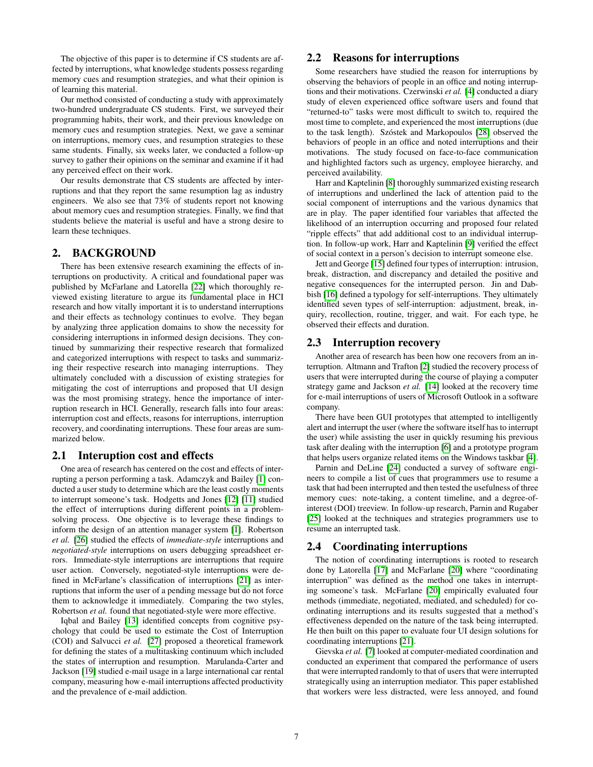The objective of this paper is to determine if CS students are affected by interruptions, what knowledge students possess regarding memory cues and resumption strategies, and what their opinion is of learning this material.

Our method consisted of conducting a study with approximately two-hundred undergraduate CS students. First, we surveyed their programming habits, their work, and their previous knowledge on memory cues and resumption strategies. Next, we gave a seminar on interruptions, memory cues, and resumption strategies to these same students. Finally, six weeks later, we conducted a follow-up survey to gather their opinions on the seminar and examine if it had any perceived effect on their work.

Our results demonstrate that CS students are affected by interruptions and that they report the same resumption lag as industry engineers. We also see that 73% of students report not knowing about memory cues and resumption strategies. Finally, we find that students believe the material is useful and have a strong desire to learn these techniques.

#### 2. BACKGROUND

There has been extensive research examining the effects of interruptions on productivity. A critical and foundational paper was published by McFarlane and Latorella [\[22\]](#page-5-2) which thoroughly reviewed existing literature to argue its fundamental place in HCI research and how vitally important it is to understand interruptions and their effects as technology continues to evolve. They began by analyzing three application domains to show the necessity for considering interruptions in informed design decisions. They continued by summarizing their respective research that formalized and categorized interruptions with respect to tasks and summarizing their respective research into managing interruptions. They ultimately concluded with a discussion of existing strategies for mitigating the cost of interruptions and proposed that UI design was the most promising strategy, hence the importance of interruption research in HCI. Generally, research falls into four areas: interruption cost and effects, reasons for interruptions, interruption recovery, and coordinating interruptions. These four areas are summarized below.

#### 2.1 Interuption cost and effects

One area of research has centered on the cost and effects of interrupting a person performing a task. Adamczyk and Bailey [\[1\]](#page-5-3) conducted a user study to determine which are the least costly moments to interrupt someone's task. Hodgetts and Jones [\[12\]](#page-5-4) [\[11\]](#page-5-5) studied the effect of interruptions during different points in a problemsolving process. One objective is to leverage these findings to inform the design of an attention manager system [\[1\]](#page-5-3). Robertson *et al.* [\[26\]](#page-5-6) studied the effects of *immediate-style* interruptions and *negotiated-style* interruptions on users debugging spreadsheet errors. Immediate-style interruptions are interruptions that require user action. Conversely, negotiated-style interruptions were defined in McFarlane's classification of interruptions [\[21\]](#page-5-7) as interruptions that inform the user of a pending message but do not force them to acknowledge it immediately. Comparing the two styles, Robertson *et al.* found that negotiated-style were more effective.

Iqbal and Bailey [\[13\]](#page-5-8) identified concepts from cognitive psychology that could be used to estimate the Cost of Interruption (COI) and Salvucci *et al.* [\[27\]](#page-5-9) proposed a theoretical framework for defining the states of a multitasking continuum which included the states of interruption and resumption. Marulanda-Carter and Jackson [\[19\]](#page-5-10) studied e-mail usage in a large international car rental company, measuring how e-mail interruptions affected productivity and the prevalence of e-mail addiction.

# 2.2 Reasons for interruptions

Some researchers have studied the reason for interruptions by observing the behaviors of people in an office and noting interruptions and their motivations. Czerwinski *et al.* [\[4\]](#page-5-11) conducted a diary study of eleven experienced office software users and found that "returned-to" tasks were most difficult to switch to, required the most time to complete, and experienced the most interruptions (due to the task length). Szóstek and Markopoulos [\[28\]](#page-5-0) observed the behaviors of people in an office and noted interruptions and their motivations. The study focused on face-to-face communication and highlighted factors such as urgency, employee hierarchy, and perceived availability.

Harr and Kaptelinin [\[8\]](#page-5-12) thoroughly summarized existing research of interruptions and underlined the lack of attention paid to the social component of interruptions and the various dynamics that are in play. The paper identified four variables that affected the likelihood of an interruption occurring and proposed four related "ripple effects" that add additional cost to an individual interruption. In follow-up work, Harr and Kaptelinin [\[9\]](#page-5-13) verified the effect of social context in a person's decision to interrupt someone else.

Jett and George [\[15\]](#page-5-14) defined four types of interruption: intrusion, break, distraction, and discrepancy and detailed the positive and negative consequences for the interrupted person. Jin and Dabbish [\[16\]](#page-5-15) defined a typology for self-interruptions. They ultimately identified seven types of self-interruption: adjustment, break, inquiry, recollection, routine, trigger, and wait. For each type, he observed their effects and duration.

#### 2.3 Interruption recovery

Another area of research has been how one recovers from an interruption. Altmann and Trafton [\[2\]](#page-5-16) studied the recovery process of users that were interrupted during the course of playing a computer strategy game and Jackson *et al.* [\[14\]](#page-5-17) looked at the recovery time for e-mail interruptions of users of Microsoft Outlook in a software company.

There have been GUI prototypes that attempted to intelligently alert and interrupt the user (where the software itself has to interrupt the user) while assisting the user in quickly resuming his previous task after dealing with the interruption [\[6\]](#page-5-18) and a prototype program that helps users organize related items on the Windows taskbar [\[4\]](#page-5-11).

Parnin and DeLine [\[24\]](#page-5-19) conducted a survey of software engineers to compile a list of cues that programmers use to resume a task that had been interrupted and then tested the usefulness of three memory cues: note-taking, a content timeline, and a degree-ofinterest (DOI) treeview. In follow-up research, Parnin and Rugaber [\[25\]](#page-5-20) looked at the techniques and strategies programmers use to resume an interrupted task.

#### 2.4 Coordinating interruptions

The notion of coordinating interruptions is rooted to research done by Latorella [\[17\]](#page-5-21) and McFarlane [\[20\]](#page-5-1) where "coordinating interruption" was defined as the method one takes in interrupting someone's task. McFarlane [\[20\]](#page-5-1) empirically evaluated four methods (immediate, negotiated, mediated, and scheduled) for coordinating interruptions and its results suggested that a method's effectiveness depended on the nature of the task being interrupted. He then built on this paper to evaluate four UI design solutions for coordinating interruptions [\[21\]](#page-5-7).

Gievska *et al.* [\[7\]](#page-5-22) looked at computer-mediated coordination and conducted an experiment that compared the performance of users that were interrupted randomly to that of users that were interrupted strategically using an interruption mediator. This paper established that workers were less distracted, were less annoyed, and found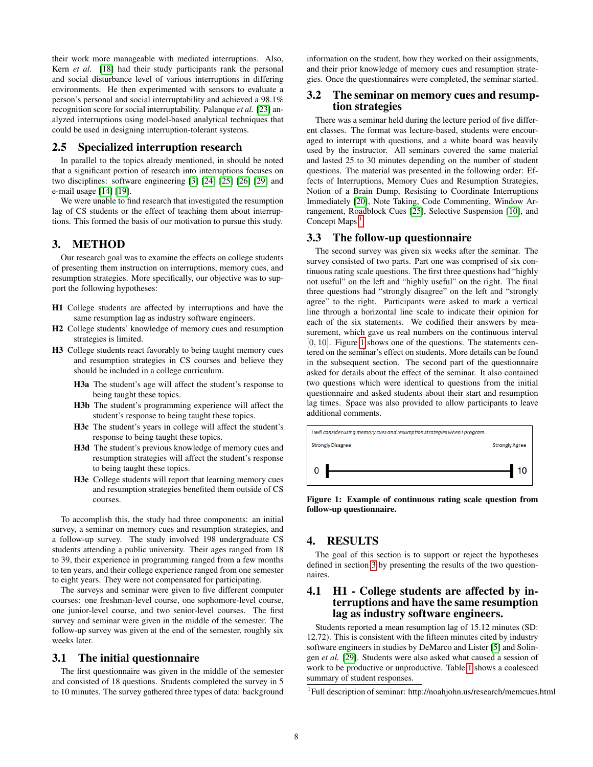their work more manageable with mediated interruptions. Also, Kern *et al.* [\[18\]](#page-5-23) had their study participants rank the personal and social disturbance level of various interruptions in differing environments. He then experimented with sensors to evaluate a person's personal and social interruptability and achieved a 98.1% recognition score for social interruptability. Palanque *et al.* [\[23\]](#page-5-24) analyzed interruptions using model-based analytical techniques that could be used in designing interruption-tolerant systems.

#### 2.5 Specialized interruption research

In parallel to the topics already mentioned, in should be noted that a significant portion of research into interruptions focuses on two disciplines: software engineering [\[3\]](#page-5-25) [\[24\]](#page-5-19) [\[25\]](#page-5-20) [\[26\]](#page-5-6) [\[29\]](#page-5-26) and e-mail usage [\[14\]](#page-5-17) [\[19\]](#page-5-10).

We were unable to find research that investigated the resumption lag of CS students or the effect of teaching them about interruptions. This formed the basis of our motivation to pursue this study.

## <span id="page-2-2"></span>3. METHOD

Our research goal was to examine the effects on college students of presenting them instruction on interruptions, memory cues, and resumption strategies. More specifically, our objective was to support the following hypotheses:

- H1 College students are affected by interruptions and have the same resumption lag as industry software engineers.
- H2 College students' knowledge of memory cues and resumption strategies is limited.
- H3 College students react favorably to being taught memory cues and resumption strategies in CS courses and believe they should be included in a college curriculum.
	- H3a The student's age will affect the student's response to being taught these topics.
	- H3b The student's programming experience will affect the student's response to being taught these topics.
	- H3c The student's years in college will affect the student's response to being taught these topics.
	- H3d The student's previous knowledge of memory cues and resumption strategies will affect the student's response to being taught these topics.
	- H3e College students will report that learning memory cues and resumption strategies benefited them outside of CS courses.

To accomplish this, the study had three components: an initial survey, a seminar on memory cues and resumption strategies, and a follow-up survey. The study involved 198 undergraduate CS students attending a public university. Their ages ranged from 18 to 39, their experience in programming ranged from a few months to ten years, and their college experience ranged from one semester to eight years. They were not compensated for participating.

The surveys and seminar were given to five different computer courses: one freshman-level course, one sophomore-level course, one junior-level course, and two senior-level courses. The first survey and seminar were given in the middle of the semester. The follow-up survey was given at the end of the semester, roughly six weeks later.

## 3.1 The initial questionnaire

The first questionnaire was given in the middle of the semester and consisted of 18 questions. Students completed the survey in 5 to 10 minutes. The survey gathered three types of data: background information on the student, how they worked on their assignments, and their prior knowledge of memory cues and resumption strategies. Once the questionnaires were completed, the seminar started.

#### 3.2 The seminar on memory cues and resumption strategies

There was a seminar held during the lecture period of five different classes. The format was lecture-based, students were encouraged to interrupt with questions, and a white board was heavily used by the instructor. All seminars covered the same material and lasted 25 to 30 minutes depending on the number of student questions. The material was presented in the following order: Effects of Interruptions, Memory Cues and Resumption Strategies, Notion of a Brain Dump, Resisting to Coordinate Interruptions Immediately [\[20\]](#page-5-1), Note Taking, Code Commenting, Window Arrangement, Roadblock Cues [\[25\]](#page-5-20), Selective Suspension [\[10\]](#page-5-27), and Concept Maps.<sup>[1](#page-2-0)</sup>

#### 3.3 The follow-up questionnaire

The second survey was given six weeks after the seminar. The survey consisted of two parts. Part one was comprised of six continuous rating scale questions. The first three questions had "highly not useful" on the left and "highly useful" on the right. The final three questions had "strongly disagree" on the left and "strongly agree" to the right. Participants were asked to mark a vertical line through a horizontal line scale to indicate their opinion for each of the six statements. We codified their answers by measurement, which gave us real numbers on the continuous interval [0, 10]. Figure [1](#page-2-1) shows one of the questions. The statements centered on the seminar's effect on students. More details can be found in the subsequent section. The second part of the questionnaire asked for details about the effect of the seminar. It also contained two questions which were identical to questions from the initial questionnaire and asked students about their start and resumption lag times. Space was also provided to allow participants to leave additional comments.



<span id="page-2-1"></span>Figure 1: Example of continuous rating scale question from follow-up questionnaire.

## 4. RESULTS

The goal of this section is to support or reject the hypotheses defined in section [3](#page-2-2) by presenting the results of the two questionnaires.

## 4.1 H1 - College students are affected by interruptions and have the same resumption lag as industry software engineers.

Students reported a mean resumption lag of 15.12 minutes (SD: 12.72). This is consistent with the fifteen minutes cited by industry software engineers in studies by DeMarco and Lister [\[5\]](#page-5-28) and Solingen *et al.* [\[29\]](#page-5-26). Students were also asked what caused a session of work to be productive or unproductive. Table [1](#page-3-0) shows a coalesced summary of student responses.

<span id="page-2-0"></span><sup>1</sup>Full description of seminar: http://noahjohn.us/research/memcues.html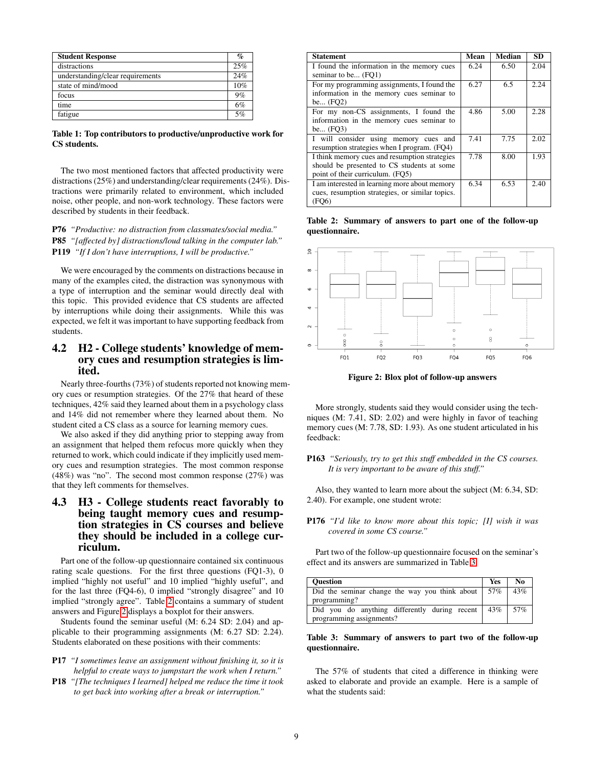| <b>Student Response</b>          | %   |
|----------------------------------|-----|
| distractions                     | 25% |
| understanding/clear requirements | 24% |
| state of mind/mood               | 10% |
| focus                            | 9%  |
| time                             | 6%  |
| fatigue                          | 5%  |

#### <span id="page-3-0"></span>Table 1: Top contributors to productive/unproductive work for CS students.

The two most mentioned factors that affected productivity were distractions (25%) and understanding/clear requirements (24%). Distractions were primarily related to environment, which included noise, other people, and non-work technology. These factors were described by students in their feedback.

P76 *"Productive: no distraction from classmates/social media."* P85 *"[affected by] distractions/loud talking in the computer lab."* P119 *"If I don't have interruptions, I will be productive."*

We were encouraged by the comments on distractions because in many of the examples cited, the distraction was synonymous with a type of interruption and the seminar would directly deal with this topic. This provided evidence that CS students are affected by interruptions while doing their assignments. While this was expected, we felt it was important to have supporting feedback from students.

# 4.2 H2 - College students' knowledge of memory cues and resumption strategies is limited.

Nearly three-fourths (73%) of students reported not knowing memory cues or resumption strategies. Of the 27% that heard of these techniques, 42% said they learned about them in a psychology class and 14% did not remember where they learned about them. No student cited a CS class as a source for learning memory cues.

We also asked if they did anything prior to stepping away from an assignment that helped them refocus more quickly when they returned to work, which could indicate if they implicitly used memory cues and resumption strategies. The most common response (48%) was "no". The second most common response (27%) was that they left comments for themselves.

## 4.3 H3 - College students react favorably to being taught memory cues and resumption strategies in CS courses and believe they should be included in a college curriculum.

Part one of the follow-up questionnaire contained six continuous rating scale questions. For the first three questions (FQ1-3), 0 implied "highly not useful" and 10 implied "highly useful", and for the last three (FQ4-6), 0 implied "strongly disagree" and 10 implied "strongly agree". Table [2](#page-3-1) contains a summary of student answers and Figure [2](#page-3-2) displays a boxplot for their answers.

Students found the seminar useful (M: 6.24 SD: 2.04) and applicable to their programming assignments (M: 6.27 SD: 2.24). Students elaborated on these positions with their comments:

- P17 *"I sometimes leave an assignment without finishing it, so it is helpful to create ways to jumpstart the work when I return."*
- P18 *"[The techniques I learned] helped me reduce the time it took to get back into working after a break or interruption."*

| Statement                                       | Mean | Median | <b>SD</b> |
|-------------------------------------------------|------|--------|-----------|
| I found the information in the memory cues      | 6.24 | 6.50   | 2.04      |
| seminar to be (FQ1)                             |      |        |           |
| For my programming assignments, I found the     | 6.27 | 6.5    | 2.24      |
| information in the memory cues seminar to       |      |        |           |
| be $(FO2)$                                      |      |        |           |
| For my non-CS assignments, I found the          | 4.86 | 5.00   | 2.28      |
| information in the memory cues seminar to       |      |        |           |
| be $(FO3)$                                      |      |        |           |
| I will consider using memory cues and           | 7.41 | 7.75   | 2.02      |
| resumption strategies when I program. (FQ4)     |      |        |           |
| I think memory cues and resumption strategies   | 7.78 | 8.00   | 1.93      |
| should be presented to CS students at some      |      |        |           |
| point of their curriculum. (FQ5)                |      |        |           |
| I am interested in learning more about memory   | 6.34 | 6.53   | 2.40      |
| cues, resumption strategies, or similar topics. |      |        |           |
| (FO <sub>6</sub> )                              |      |        |           |

<span id="page-3-1"></span>Table 2: Summary of answers to part one of the follow-up questionnaire.



<span id="page-3-2"></span>Figure 2: Blox plot of follow-up answers

More strongly, students said they would consider using the techniques (M: 7.41, SD: 2.02) and were highly in favor of teaching memory cues (M: 7.78, SD: 1.93). As one student articulated in his feedback:

P163 *"Seriously, try to get this stuff embedded in the CS courses. It is very important to be aware of this stuff."*

Also, they wanted to learn more about the subject (M: 6.34, SD: 2.40). For example, one student wrote:

P176 *"I'd like to know more about this topic; [I] wish it was covered in some CS course."*

Part two of the follow-up questionnaire focused on the seminar's effect and its answers are summarized in Table [3.](#page-3-3)

| <b>Ouestion</b>                                                               | Yes | N <sub>0</sub> |
|-------------------------------------------------------------------------------|-----|----------------|
| Did the seminar change the way you think about $\vert$ 57% $\vert$ 43%        |     |                |
| programming?                                                                  |     |                |
| Did you do anything differently during recent $\vert$ 43% $\vert$ 57% $\vert$ |     |                |
| programming assignments?                                                      |     |                |

#### <span id="page-3-3"></span>Table 3: Summary of answers to part two of the follow-up questionnaire.

The 57% of students that cited a difference in thinking were asked to elaborate and provide an example. Here is a sample of what the students said: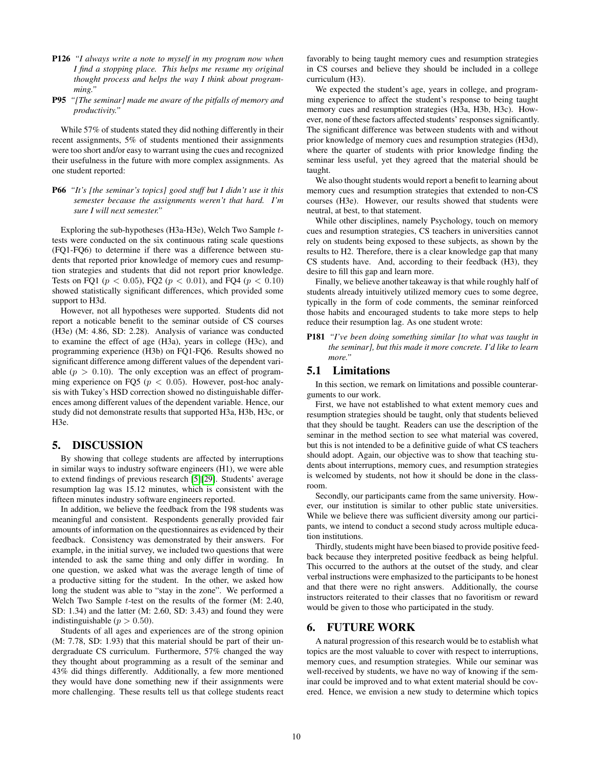- P126 *"I always write a note to myself in my program now when I find a stopping place. This helps me resume my original thought process and helps the way I think about programming."*
- P95 *"[The seminar] made me aware of the pitfalls of memory and productivity."*

While 57% of students stated they did nothing differently in their recent assignments, 5% of students mentioned their assignments were too short and/or easy to warrant using the cues and recognized their usefulness in the future with more complex assignments. As one student reported:

P66 *"It's [the seminar's topics] good stuff but I didn't use it this semester because the assignments weren't that hard. I'm sure I will next semester."*

Exploring the sub-hypotheses (H3a-H3e), Welch Two Sample ttests were conducted on the six continuous rating scale questions (FQ1-FQ6) to determine if there was a difference between students that reported prior knowledge of memory cues and resumption strategies and students that did not report prior knowledge. Tests on FQ1 ( $p < 0.05$ ), FQ2 ( $p < 0.01$ ), and FQ4 ( $p < 0.10$ ) showed statistically significant differences, which provided some support to H3d.

However, not all hypotheses were supported. Students did not report a noticable benefit to the seminar outside of CS courses (H3e) (M: 4.86, SD: 2.28). Analysis of variance was conducted to examine the effect of age (H3a), years in college (H3c), and programming experience (H3b) on FQ1-FQ6. Results showed no significant difference among different values of the dependent variable  $(p > 0.10)$ . The only exception was an effect of programming experience on FQ5 ( $p < 0.05$ ). However, post-hoc analysis with Tukey's HSD correction showed no distinguishable differences among different values of the dependent variable. Hence, our study did not demonstrate results that supported H3a, H3b, H3c, or H3e.

# 5. DISCUSSION

By showing that college students are affected by interruptions in similar ways to industry software engineers (H1), we were able to extend findings of previous research [\[5\]](#page-5-28)[\[29\]](#page-5-26). Students' average resumption lag was 15.12 minutes, which is consistent with the fifteen minutes industry software engineers reported.

In addition, we believe the feedback from the 198 students was meaningful and consistent. Respondents generally provided fair amounts of information on the questionnaires as evidenced by their feedback. Consistency was demonstrated by their answers. For example, in the initial survey, we included two questions that were intended to ask the same thing and only differ in wording. In one question, we asked what was the average length of time of a productive sitting for the student. In the other, we asked how long the student was able to "stay in the zone". We performed a Welch Two Sample *t*-test on the results of the former (M: 2.40, SD: 1.34) and the latter (M: 2.60, SD: 3.43) and found they were indistinguishable ( $p > 0.50$ ).

Students of all ages and experiences are of the strong opinion (M: 7.78, SD: 1.93) that this material should be part of their undergraduate CS curriculum. Furthermore, 57% changed the way they thought about programming as a result of the seminar and 43% did things differently. Additionally, a few more mentioned they would have done something new if their assignments were more challenging. These results tell us that college students react favorably to being taught memory cues and resumption strategies in CS courses and believe they should be included in a college curriculum (H3).

We expected the student's age, years in college, and programming experience to affect the student's response to being taught memory cues and resumption strategies (H3a, H3b, H3c). However, none of these factors affected students' responses significantly. The significant difference was between students with and without prior knowledge of memory cues and resumption strategies (H3d), where the quarter of students with prior knowledge finding the seminar less useful, yet they agreed that the material should be taught.

We also thought students would report a benefit to learning about memory cues and resumption strategies that extended to non-CS courses (H3e). However, our results showed that students were neutral, at best, to that statement.

While other disciplines, namely Psychology, touch on memory cues and resumption strategies, CS teachers in universities cannot rely on students being exposed to these subjects, as shown by the results to H2. Therefore, there is a clear knowledge gap that many CS students have. And, according to their feedback (H3), they desire to fill this gap and learn more.

Finally, we believe another takeaway is that while roughly half of students already intuitively utilized memory cues to some degree, typically in the form of code comments, the seminar reinforced those habits and encouraged students to take more steps to help reduce their resumption lag. As one student wrote:

P181 *"I've been doing something similar [to what was taught in the seminar], but this made it more concrete. I'd like to learn more."*

#### 5.1 Limitations

In this section, we remark on limitations and possible counterarguments to our work.

First, we have not established to what extent memory cues and resumption strategies should be taught, only that students believed that they should be taught. Readers can use the description of the seminar in the method section to see what material was covered, but this is not intended to be a definitive guide of what CS teachers should adopt. Again, our objective was to show that teaching students about interruptions, memory cues, and resumption strategies is welcomed by students, not how it should be done in the classroom.

Secondly, our participants came from the same university. However, our institution is similar to other public state universities. While we believe there was sufficient diversity among our participants, we intend to conduct a second study across multiple education institutions.

Thirdly, students might have been biased to provide positive feedback because they interpreted positive feedback as being helpful. This occurred to the authors at the outset of the study, and clear verbal instructions were emphasized to the participants to be honest and that there were no right answers. Additionally, the course instructors reiterated to their classes that no favoritism or reward would be given to those who participated in the study.

## 6. FUTURE WORK

A natural progression of this research would be to establish what topics are the most valuable to cover with respect to interruptions, memory cues, and resumption strategies. While our seminar was well-received by students, we have no way of knowing if the seminar could be improved and to what extent material should be covered. Hence, we envision a new study to determine which topics